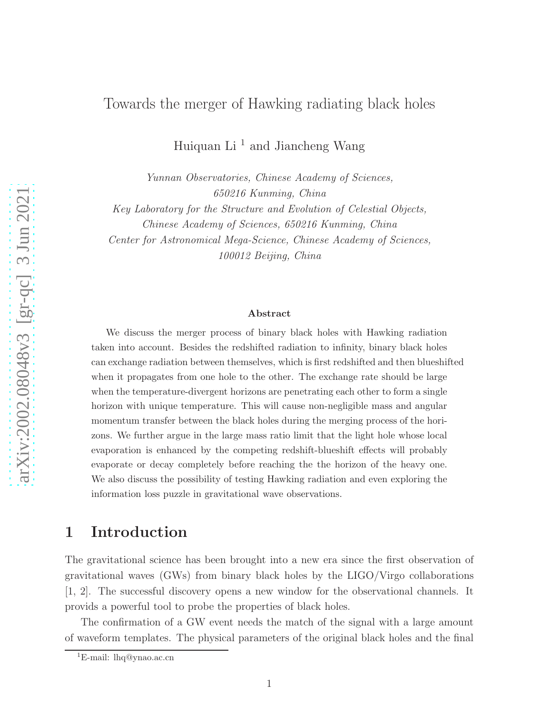### Towards the merger of Hawking radiating black holes

Huiquan Li <sup>1</sup> and Jiancheng Wang

Yunnan Observatories, Chinese Academy of Sciences, 650216 Kunming, China Key Laboratory for the Structure and Evolution of Celestial Objects, Chinese Academy of Sciences, 650216 Kunming, China

Center for Astronomical Mega-Science, Chinese Academy of Sciences, 100012 Beijing, China

#### Abstract

We discuss the merger process of binary black holes with Hawking radiation taken into account. Besides the redshifted radiation to infinity, binary black holes can exchange radiation between themselves, which is first redshifted and then blueshifted when it propagates from one hole to the other. The exchange rate should be large when the temperature-divergent horizons are penetrating each other to form a single horizon with unique temperature. This will cause non-negligible mass and angular momentum transfer between the black holes during the merging process of the horizons. We further argue in the large mass ratio limit that the light hole whose local evaporation is enhanced by the competing redshift-blueshift effects will probably evaporate or decay completely before reaching the the horizon of the heavy one. We also discuss the possibility of testing Hawking radiation and even exploring the information loss puzzle in gravitational wave observations.

## 1 Introduction

The gravitational science has been brought into a new era since the first observation of gravitational waves (GWs) from binary black holes by the LIGO/Virgo collaborations [1, 2]. The successful discovery opens a new window for the observational channels. It provids a powerful tool to probe the properties of black holes.

The confirmation of a GW event needs the match of the signal with a large amount of waveform templates. The physical parameters of the original black holes and the final

<sup>&</sup>lt;sup>1</sup>E-mail: lhq@ynao.ac.cn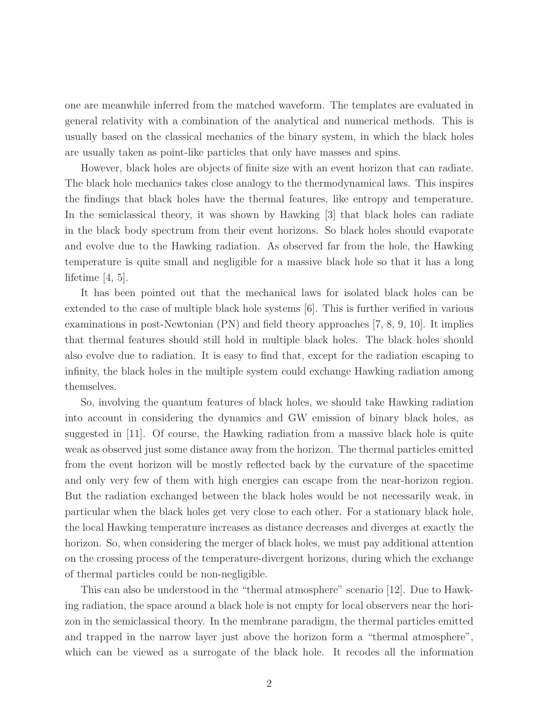one are meanwhile inferred from the matched waveform. The templates are evaluated in general relativity with a combination of the analytical and numerical methods. This is usually based on the classical mechanics of the binary system, in which the black holes are usually taken as point-like particles that only have masses and spins.

However, black holes are objects of finite size with an event horizon that can radiate. The black hole mechanics takes close analogy to the thermodynamical laws. This inspires the findings that black holes have the thermal features, like entropy and temperature. In the semiclassical theory, it was shown by Hawking [3] that black holes can radiate in the black body spectrum from their event horizons. So black holes should evaporate and evolve due to the Hawking radiation. As observed far from the hole, the Hawking temperature is quite small and negligible for a massive black hole so that it has a long lifetime [4, 5].

It has been pointed out that the mechanical laws for isolated black holes can be extended to the case of multiple black hole systems [6]. This is further verified in various examinations in post-Newtonian (PN) and field theory approaches [7, 8, 9, 10]. It implies that thermal features should still hold in multiple black holes. The black holes should also evolve due to radiation. It is easy to find that, except for the radiation escaping to infinity, the black holes in the multiple system could exchange Hawking radiation among themselves.

So, involving the quantum features of black holes, we should take Hawking radiation into account in considering the dynamics and GW emission of binary black holes, as suggested in [11]. Of course, the Hawking radiation from a massive black hole is quite weak as observed just some distance away from the horizon. The thermal particles emitted from the event horizon will be mostly reflected back by the curvature of the spacetime and only very few of them with high energies can escape from the near-horizon region. But the radiation exchanged between the black holes would be not necessarily weak, in particular when the black holes get very close to each other. For a stationary black hole, the local Hawking temperature increases as distance decreases and diverges at exactly the horizon. So, when considering the merger of black holes, we must pay additional attention on the crossing process of the temperature-divergent horizons, during which the exchange of thermal particles could be non-negligible.

This can also be understood in the "thermal atmosphere" scenario [12]. Due to Hawking radiation, the space around a black hole is not empty for local observers near the horizon in the semiclassical theory. In the membrane paradigm, the thermal particles emitted and trapped in the narrow layer just above the horizon form a "thermal atmosphere", which can be viewed as a surrogate of the black hole. It recodes all the information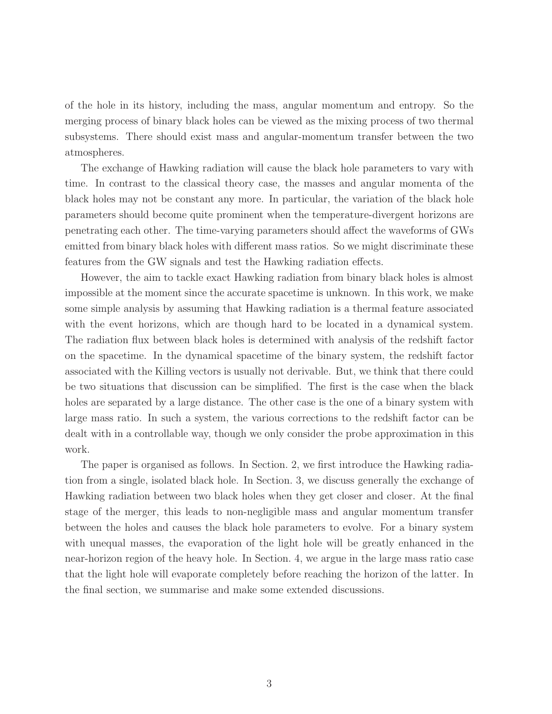of the hole in its history, including the mass, angular momentum and entropy. So the merging process of binary black holes can be viewed as the mixing process of two thermal subsystems. There should exist mass and angular-momentum transfer between the two atmospheres.

The exchange of Hawking radiation will cause the black hole parameters to vary with time. In contrast to the classical theory case, the masses and angular momenta of the black holes may not be constant any more. In particular, the variation of the black hole parameters should become quite prominent when the temperature-divergent horizons are penetrating each other. The time-varying parameters should affect the waveforms of GWs emitted from binary black holes with different mass ratios. So we might discriminate these features from the GW signals and test the Hawking radiation effects.

However, the aim to tackle exact Hawking radiation from binary black holes is almost impossible at the moment since the accurate spacetime is unknown. In this work, we make some simple analysis by assuming that Hawking radiation is a thermal feature associated with the event horizons, which are though hard to be located in a dynamical system. The radiation flux between black holes is determined with analysis of the redshift factor on the spacetime. In the dynamical spacetime of the binary system, the redshift factor associated with the Killing vectors is usually not derivable. But, we think that there could be two situations that discussion can be simplified. The first is the case when the black holes are separated by a large distance. The other case is the one of a binary system with large mass ratio. In such a system, the various corrections to the redshift factor can be dealt with in a controllable way, though we only consider the probe approximation in this work.

The paper is organised as follows. In Section. 2, we first introduce the Hawking radiation from a single, isolated black hole. In Section. 3, we discuss generally the exchange of Hawking radiation between two black holes when they get closer and closer. At the final stage of the merger, this leads to non-negligible mass and angular momentum transfer between the holes and causes the black hole parameters to evolve. For a binary system with unequal masses, the evaporation of the light hole will be greatly enhanced in the near-horizon region of the heavy hole. In Section. 4, we argue in the large mass ratio case that the light hole will evaporate completely before reaching the horizon of the latter. In the final section, we summarise and make some extended discussions.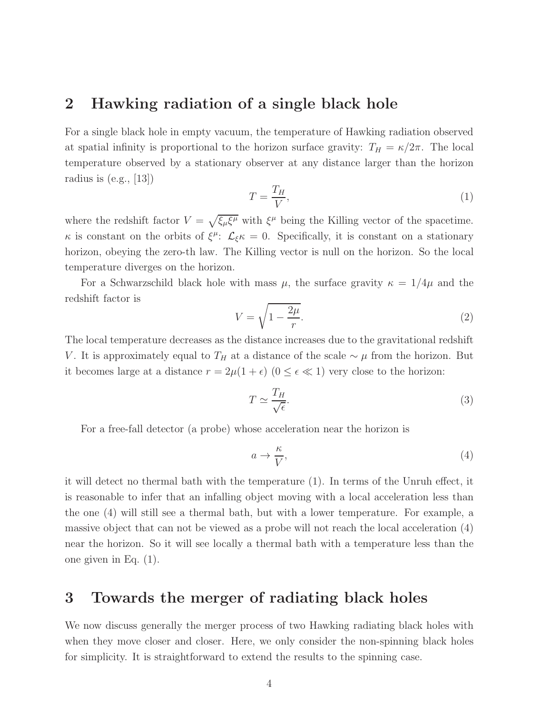### 2 Hawking radiation of a single black hole

For a single black hole in empty vacuum, the temperature of Hawking radiation observed at spatial infinity is proportional to the horizon surface gravity:  $T_H = \kappa/2\pi$ . The local temperature observed by a stationary observer at any distance larger than the horizon radius is (e.g., [13])

$$
T = \frac{T_H}{V},\tag{1}
$$

where the redshift factor  $V = \sqrt{\xi_{\mu} \xi^{\mu}}$  with  $\xi^{\mu}$  being the Killing vector of the spacetime.  $\kappa$  is constant on the orbits of  $\xi^{\mu}$ :  $\mathcal{L}_{\xi} \kappa = 0$ . Specifically, it is constant on a stationary horizon, obeying the zero-th law. The Killing vector is null on the horizon. So the local temperature diverges on the horizon.

For a Schwarzschild black hole with mass  $\mu$ , the surface gravity  $\kappa = 1/4\mu$  and the redshift factor is

$$
V = \sqrt{1 - \frac{2\mu}{r}}.\tag{2}
$$

The local temperature decreases as the distance increases due to the gravitational redshift V. It is approximately equal to  $T_H$  at a distance of the scale  $\sim \mu$  from the horizon. But it becomes large at a distance  $r = 2\mu(1+\epsilon)$   $(0 \le \epsilon \ll 1)$  very close to the horizon:

$$
T \simeq \frac{T_H}{\sqrt{\epsilon}}.\tag{3}
$$

For a free-fall detector (a probe) whose acceleration near the horizon is

$$
a \to \frac{\kappa}{V},\tag{4}
$$

it will detect no thermal bath with the temperature (1). In terms of the Unruh effect, it is reasonable to infer that an infalling object moving with a local acceleration less than the one (4) will still see a thermal bath, but with a lower temperature. For example, a massive object that can not be viewed as a probe will not reach the local acceleration (4) near the horizon. So it will see locally a thermal bath with a temperature less than the one given in Eq. (1).

## 3 Towards the merger of radiating black holes

We now discuss generally the merger process of two Hawking radiating black holes with when they move closer and closer. Here, we only consider the non-spinning black holes for simplicity. It is straightforward to extend the results to the spinning case.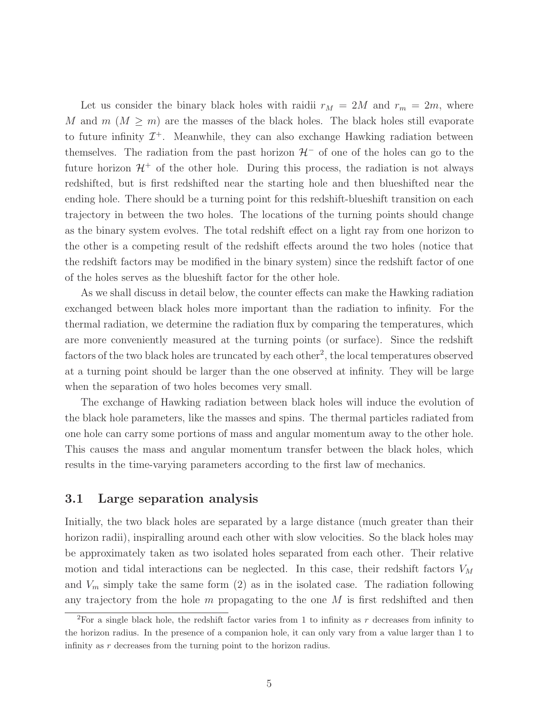Let us consider the binary black holes with raidii  $r_M = 2M$  and  $r_m = 2m$ , where M and  $m (M \geq m)$  are the masses of the black holes. The black holes still evaporate to future infinity  $\mathcal{I}^+$ . Meanwhile, they can also exchange Hawking radiation between themselves. The radiation from the past horizon  $\mathcal{H}^-$  of one of the holes can go to the future horizon  $\mathcal{H}^+$  of the other hole. During this process, the radiation is not always redshifted, but is first redshifted near the starting hole and then blueshifted near the ending hole. There should be a turning point for this redshift-blueshift transition on each trajectory in between the two holes. The locations of the turning points should change as the binary system evolves. The total redshift effect on a light ray from one horizon to the other is a competing result of the redshift effects around the two holes (notice that the redshift factors may be modified in the binary system) since the redshift factor of one of the holes serves as the blueshift factor for the other hole.

As we shall discuss in detail below, the counter effects can make the Hawking radiation exchanged between black holes more important than the radiation to infinity. For the thermal radiation, we determine the radiation flux by comparing the temperatures, which are more conveniently measured at the turning points (or surface). Since the redshift factors of the two black holes are truncated by each other<sup>2</sup>, the local temperatures observed at a turning point should be larger than the one observed at infinity. They will be large when the separation of two holes becomes very small.

The exchange of Hawking radiation between black holes will induce the evolution of the black hole parameters, like the masses and spins. The thermal particles radiated from one hole can carry some portions of mass and angular momentum away to the other hole. This causes the mass and angular momentum transfer between the black holes, which results in the time-varying parameters according to the first law of mechanics.

### 3.1 Large separation analysis

Initially, the two black holes are separated by a large distance (much greater than their horizon radii), inspiralling around each other with slow velocities. So the black holes may be approximately taken as two isolated holes separated from each other. Their relative motion and tidal interactions can be neglected. In this case, their redshift factors  $V_M$ and  $V_m$  simply take the same form  $(2)$  as in the isolated case. The radiation following any trajectory from the hole  $m$  propagating to the one  $M$  is first redshifted and then

<sup>&</sup>lt;sup>2</sup>For a single black hole, the redshift factor varies from 1 to infinity as r decreases from infinity to the horizon radius. In the presence of a companion hole, it can only vary from a value larger than 1 to infinity as r decreases from the turning point to the horizon radius.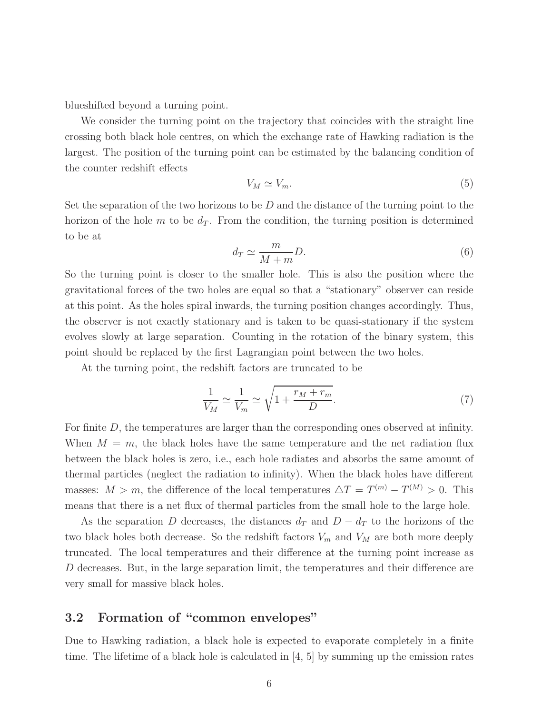blueshifted beyond a turning point.

We consider the turning point on the trajectory that coincides with the straight line crossing both black hole centres, on which the exchange rate of Hawking radiation is the largest. The position of the turning point can be estimated by the balancing condition of the counter redshift effects

$$
V_M \simeq V_m. \tag{5}
$$

Set the separation of the two horizons to be  $D$  and the distance of the turning point to the horizon of the hole m to be  $d_T$ . From the condition, the turning position is determined to be at

$$
d_T \simeq \frac{m}{M+m}D.\tag{6}
$$

So the turning point is closer to the smaller hole. This is also the position where the gravitational forces of the two holes are equal so that a "stationary" observer can reside at this point. As the holes spiral inwards, the turning position changes accordingly. Thus, the observer is not exactly stationary and is taken to be quasi-stationary if the system evolves slowly at large separation. Counting in the rotation of the binary system, this point should be replaced by the first Lagrangian point between the two holes.

At the turning point, the redshift factors are truncated to be

$$
\frac{1}{V_M} \simeq \frac{1}{V_m} \simeq \sqrt{1 + \frac{r_M + r_m}{D}}.\tag{7}
$$

For finite D, the temperatures are larger than the corresponding ones observed at infinity. When  $M = m$ , the black holes have the same temperature and the net radiation flux between the black holes is zero, i.e., each hole radiates and absorbs the same amount of thermal particles (neglect the radiation to infinity). When the black holes have different masses:  $M > m$ , the difference of the local temperatures  $\Delta T = T^{(m)} - T^{(M)} > 0$ . This means that there is a net flux of thermal particles from the small hole to the large hole.

As the separation D decreases, the distances  $d_T$  and  $D - d_T$  to the horizons of the two black holes both decrease. So the redshift factors  $V_m$  and  $V_M$  are both more deeply truncated. The local temperatures and their difference at the turning point increase as D decreases. But, in the large separation limit, the temperatures and their difference are very small for massive black holes.

### 3.2 Formation of "common envelopes"

Due to Hawking radiation, a black hole is expected to evaporate completely in a finite time. The lifetime of a black hole is calculated in  $\vert 4, 5 \vert$  by summing up the emission rates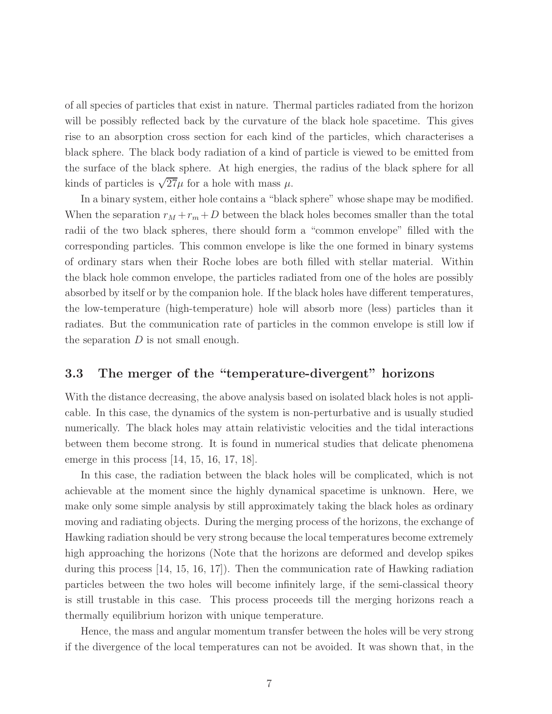of all species of particles that exist in nature. Thermal particles radiated from the horizon will be possibly reflected back by the curvature of the black hole spacetime. This gives rise to an absorption cross section for each kind of the particles, which characterises a black sphere. The black body radiation of a kind of particle is viewed to be emitted from the surface of the black sphere. At high energies, the radius of the black sphere for all kinds of particles is  $\sqrt{27}\mu$  for a hole with mass  $\mu$ .

In a binary system, either hole contains a "black sphere" whose shape may be modified. When the separation  $r_M + r_m + D$  between the black holes becomes smaller than the total radii of the two black spheres, there should form a "common envelope" filled with the corresponding particles. This common envelope is like the one formed in binary systems of ordinary stars when their Roche lobes are both filled with stellar material. Within the black hole common envelope, the particles radiated from one of the holes are possibly absorbed by itself or by the companion hole. If the black holes have different temperatures, the low-temperature (high-temperature) hole will absorb more (less) particles than it radiates. But the communication rate of particles in the common envelope is still low if the separation  $D$  is not small enough.

### 3.3 The merger of the "temperature-divergent" horizons

With the distance decreasing, the above analysis based on isolated black holes is not applicable. In this case, the dynamics of the system is non-perturbative and is usually studied numerically. The black holes may attain relativistic velocities and the tidal interactions between them become strong. It is found in numerical studies that delicate phenomena emerge in this process [14, 15, 16, 17, 18].

In this case, the radiation between the black holes will be complicated, which is not achievable at the moment since the highly dynamical spacetime is unknown. Here, we make only some simple analysis by still approximately taking the black holes as ordinary moving and radiating objects. During the merging process of the horizons, the exchange of Hawking radiation should be very strong because the local temperatures become extremely high approaching the horizons (Note that the horizons are deformed and develop spikes during this process [14, 15, 16, 17]). Then the communication rate of Hawking radiation particles between the two holes will become infinitely large, if the semi-classical theory is still trustable in this case. This process proceeds till the merging horizons reach a thermally equilibrium horizon with unique temperature.

Hence, the mass and angular momentum transfer between the holes will be very strong if the divergence of the local temperatures can not be avoided. It was shown that, in the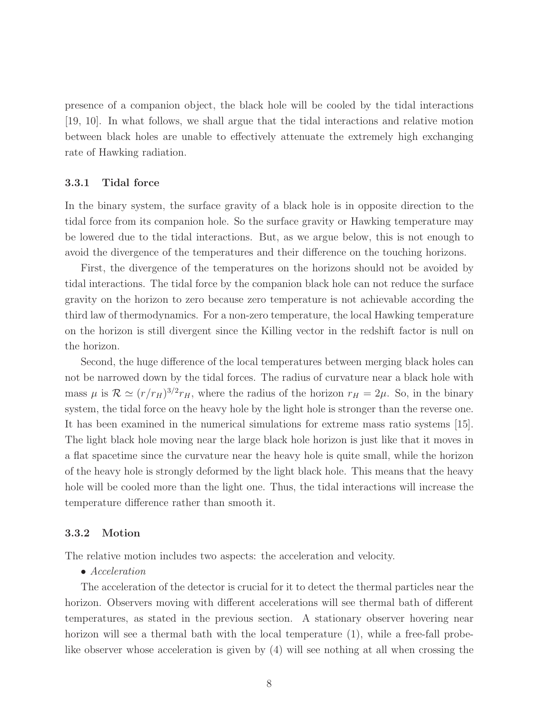presence of a companion object, the black hole will be cooled by the tidal interactions [19, 10]. In what follows, we shall argue that the tidal interactions and relative motion between black holes are unable to effectively attenuate the extremely high exchanging rate of Hawking radiation.

#### 3.3.1 Tidal force

In the binary system, the surface gravity of a black hole is in opposite direction to the tidal force from its companion hole. So the surface gravity or Hawking temperature may be lowered due to the tidal interactions. But, as we argue below, this is not enough to avoid the divergence of the temperatures and their difference on the touching horizons.

First, the divergence of the temperatures on the horizons should not be avoided by tidal interactions. The tidal force by the companion black hole can not reduce the surface gravity on the horizon to zero because zero temperature is not achievable according the third law of thermodynamics. For a non-zero temperature, the local Hawking temperature on the horizon is still divergent since the Killing vector in the redshift factor is null on the horizon.

Second, the huge difference of the local temperatures between merging black holes can not be narrowed down by the tidal forces. The radius of curvature near a black hole with mass  $\mu$  is  $\mathcal{R} \simeq (r/r_H)^{3/2} r_H$ , where the radius of the horizon  $r_H = 2\mu$ . So, in the binary system, the tidal force on the heavy hole by the light hole is stronger than the reverse one. It has been examined in the numerical simulations for extreme mass ratio systems [15]. The light black hole moving near the large black hole horizon is just like that it moves in a flat spacetime since the curvature near the heavy hole is quite small, while the horizon of the heavy hole is strongly deformed by the light black hole. This means that the heavy hole will be cooled more than the light one. Thus, the tidal interactions will increase the temperature difference rather than smooth it.

#### 3.3.2 Motion

The relative motion includes two aspects: the acceleration and velocity.

#### • Acceleration

The acceleration of the detector is crucial for it to detect the thermal particles near the horizon. Observers moving with different accelerations will see thermal bath of different temperatures, as stated in the previous section. A stationary observer hovering near horizon will see a thermal bath with the local temperature  $(1)$ , while a free-fall probelike observer whose acceleration is given by (4) will see nothing at all when crossing the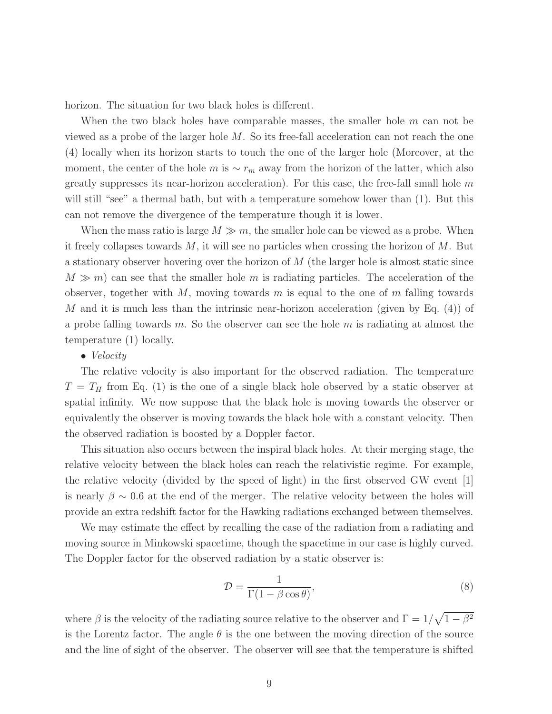horizon. The situation for two black holes is different.

When the two black holes have comparable masses, the smaller hole  $m$  can not be viewed as a probe of the larger hole M. So its free-fall acceleration can not reach the one (4) locally when its horizon starts to touch the one of the larger hole (Moreover, at the moment, the center of the hole m is  $\sim r_m$  away from the horizon of the latter, which also greatly suppresses its near-horizon acceleration). For this case, the free-fall small hole  $m$ will still "see" a thermal bath, but with a temperature somehow lower than  $(1)$ . But this can not remove the divergence of the temperature though it is lower.

When the mass ratio is large  $M \gg m$ , the smaller hole can be viewed as a probe. When it freely collapses towards  $M$ , it will see no particles when crossing the horizon of  $M$ . But a stationary observer hovering over the horizon of M (the larger hole is almost static since  $M \gg m$ ) can see that the smaller hole m is radiating particles. The acceleration of the observer, together with  $M$ , moving towards m is equal to the one of m falling towards M and it is much less than the intrinsic near-horizon acceleration (given by Eq.  $(4)$ ) of a probe falling towards m. So the observer can see the hole m is radiating at almost the temperature (1) locally.

#### • *Velocity*

The relative velocity is also important for the observed radiation. The temperature  $T = T_H$  from Eq. (1) is the one of a single black hole observed by a static observer at spatial infinity. We now suppose that the black hole is moving towards the observer or equivalently the observer is moving towards the black hole with a constant velocity. Then the observed radiation is boosted by a Doppler factor.

This situation also occurs between the inspiral black holes. At their merging stage, the relative velocity between the black holes can reach the relativistic regime. For example, the relative velocity (divided by the speed of light) in the first observed GW event [1] is nearly  $\beta \sim 0.6$  at the end of the merger. The relative velocity between the holes will provide an extra redshift factor for the Hawking radiations exchanged between themselves.

We may estimate the effect by recalling the case of the radiation from a radiating and moving source in Minkowski spacetime, though the spacetime in our case is highly curved. The Doppler factor for the observed radiation by a static observer is:

$$
\mathcal{D} = \frac{1}{\Gamma(1 - \beta \cos \theta)},\tag{8}
$$

where  $\beta$  is the velocity of the radiating source relative to the observer and  $\Gamma = 1/\sqrt{1 - \beta^2}$ is the Lorentz factor. The angle  $\theta$  is the one between the moving direction of the source and the line of sight of the observer. The observer will see that the temperature is shifted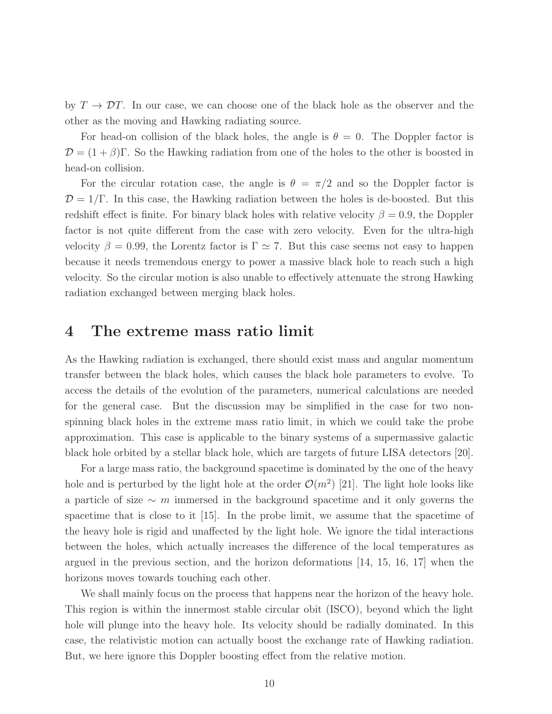by  $T \to \mathcal{D}T$ . In our case, we can choose one of the black hole as the observer and the other as the moving and Hawking radiating source.

For head-on collision of the black holes, the angle is  $\theta = 0$ . The Doppler factor is  $\mathcal{D} = (1 + \beta)\Gamma$ . So the Hawking radiation from one of the holes to the other is boosted in head-on collision.

For the circular rotation case, the angle is  $\theta = \pi/2$  and so the Doppler factor is  $\mathcal{D} = 1/\Gamma$ . In this case, the Hawking radiation between the holes is de-boosted. But this redshift effect is finite. For binary black holes with relative velocity  $\beta = 0.9$ , the Doppler factor is not quite different from the case with zero velocity. Even for the ultra-high velocity  $\beta = 0.99$ , the Lorentz factor is  $\Gamma \simeq 7$ . But this case seems not easy to happen because it needs tremendous energy to power a massive black hole to reach such a high velocity. So the circular motion is also unable to effectively attenuate the strong Hawking radiation exchanged between merging black holes.

### 4 The extreme mass ratio limit

As the Hawking radiation is exchanged, there should exist mass and angular momentum transfer between the black holes, which causes the black hole parameters to evolve. To access the details of the evolution of the parameters, numerical calculations are needed for the general case. But the discussion may be simplified in the case for two nonspinning black holes in the extreme mass ratio limit, in which we could take the probe approximation. This case is applicable to the binary systems of a supermassive galactic black hole orbited by a stellar black hole, which are targets of future LISA detectors [20].

For a large mass ratio, the background spacetime is dominated by the one of the heavy hole and is perturbed by the light hole at the order  $\mathcal{O}(m^2)$  [21]. The light hole looks like a particle of size  $\sim$  m immersed in the background spacetime and it only governs the spacetime that is close to it [15]. In the probe limit, we assume that the spacetime of the heavy hole is rigid and unaffected by the light hole. We ignore the tidal interactions between the holes, which actually increases the difference of the local temperatures as argued in the previous section, and the horizon deformations [14, 15, 16, 17] when the horizons moves towards touching each other.

We shall mainly focus on the process that happens near the horizon of the heavy hole. This region is within the innermost stable circular obit (ISCO), beyond which the light hole will plunge into the heavy hole. Its velocity should be radially dominated. In this case, the relativistic motion can actually boost the exchange rate of Hawking radiation. But, we here ignore this Doppler boosting effect from the relative motion.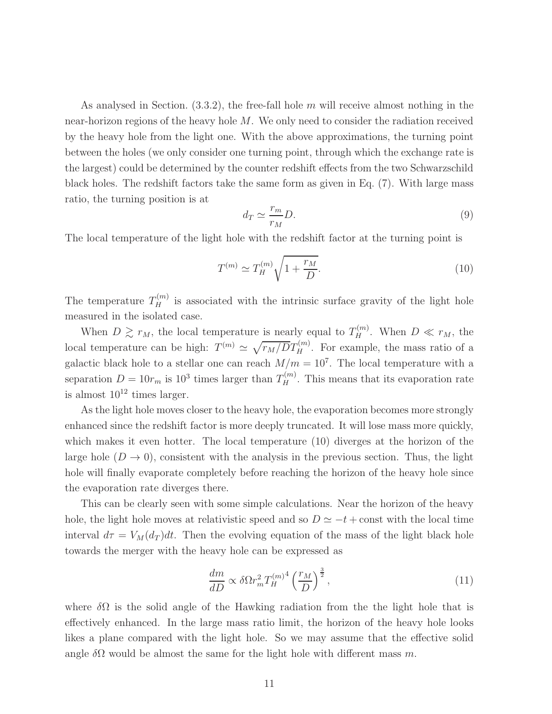As analysed in Section.  $(3.3.2)$ , the free-fall hole m will receive almost nothing in the near-horizon regions of the heavy hole M. We only need to consider the radiation received by the heavy hole from the light one. With the above approximations, the turning point between the holes (we only consider one turning point, through which the exchange rate is the largest) could be determined by the counter redshift effects from the two Schwarzschild black holes. The redshift factors take the same form as given in Eq. (7). With large mass ratio, the turning position is at

$$
d_T \simeq \frac{r_m}{r_M} D. \tag{9}
$$

The local temperature of the light hole with the redshift factor at the turning point is

$$
T^{(m)} \simeq T_H^{(m)} \sqrt{1 + \frac{r_M}{D}}.\t(10)
$$

The temperature  $T_H^{(m)}$  is associated with the intrinsic surface gravity of the light hole measured in the isolated case.

When  $D \gtrsim r_M$ , the local temperature is nearly equal to  $T_H^{(m)}$ . When  $D \ll r_M$ , the local temperature can be high:  $T^{(m)} \simeq \sqrt{\frac{r_M}{DT_H}}$ . For example, the mass ratio of a galactic black hole to a stellar one can reach  $M/m = 10<sup>7</sup>$ . The local temperature with a separation  $D = 10r_m$  is  $10^3$  times larger than  $T_H^{(m)}$ . This means that its evaporation rate is almost  $10^{12}$  times larger.

As the light hole moves closer to the heavy hole, the evaporation becomes more strongly enhanced since the redshift factor is more deeply truncated. It will lose mass more quickly, which makes it even hotter. The local temperature (10) diverges at the horizon of the large hole  $(D \to 0)$ , consistent with the analysis in the previous section. Thus, the light hole will finally evaporate completely before reaching the horizon of the heavy hole since the evaporation rate diverges there.

This can be clearly seen with some simple calculations. Near the horizon of the heavy hole, the light hole moves at relativistic speed and so  $D \simeq -t + \text{const}$  with the local time interval  $d\tau = V_M(d_T)dt$ . Then the evolving equation of the mass of the light black hole towards the merger with the heavy hole can be expressed as

$$
\frac{dm}{dD} \propto \delta \Omega r_m^2 T_H^{(m)^4} \left(\frac{r_M}{D}\right)^{\frac{3}{2}},\tag{11}
$$

where  $\delta\Omega$  is the solid angle of the Hawking radiation from the the light hole that is effectively enhanced. In the large mass ratio limit, the horizon of the heavy hole looks likes a plane compared with the light hole. So we may assume that the effective solid angle  $\delta\Omega$  would be almost the same for the light hole with different mass m.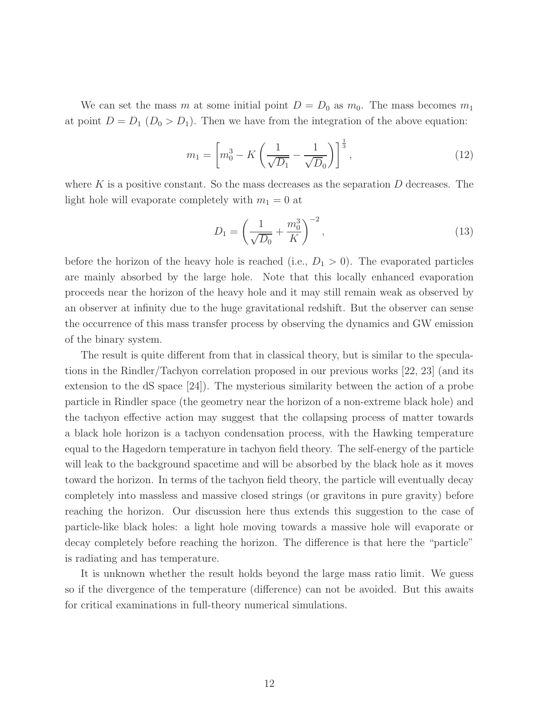We can set the mass m at some initial point  $D = D_0$  as  $m_0$ . The mass becomes  $m_1$ at point  $D = D_1 (D_0 > D_1)$ . Then we have from the integration of the above equation:

$$
m_1 = \left[ m_0^3 - K \left( \frac{1}{\sqrt{D_1}} - \frac{1}{\sqrt{D_0}} \right) \right]^{\frac{1}{3}},\tag{12}
$$

where K is a positive constant. So the mass decreases as the separation  $D$  decreases. The light hole will evaporate completely with  $m_1 = 0$  at

$$
D_1 = \left(\frac{1}{\sqrt{D_0}} + \frac{m_0^3}{K}\right)^{-2},\tag{13}
$$

before the horizon of the heavy hole is reached (i.e.,  $D_1 > 0$ ). The evaporated particles are mainly absorbed by the large hole. Note that this locally enhanced evaporation proceeds near the horizon of the heavy hole and it may still remain weak as observed by an observer at infinity due to the huge gravitational redshift. But the observer can sense the occurrence of this mass transfer process by observing the dynamics and GW emission of the binary system.

The result is quite different from that in classical theory, but is similar to the speculations in the Rindler/Tachyon correlation proposed in our previous works [22, 23] (and its extension to the dS space [24]). The mysterious similarity between the action of a probe particle in Rindler space (the geometry near the horizon of a non-extreme black hole) and the tachyon effective action may suggest that the collapsing process of matter towards a black hole horizon is a tachyon condensation process, with the Hawking temperature equal to the Hagedorn temperature in tachyon field theory. The self-energy of the particle will leak to the background spacetime and will be absorbed by the black hole as it moves toward the horizon. In terms of the tachyon field theory, the particle will eventually decay completely into massless and massive closed strings (or gravitons in pure gravity) before reaching the horizon. Our discussion here thus extends this suggestion to the case of particle-like black holes: a light hole moving towards a massive hole will evaporate or decay completely before reaching the horizon. The difference is that here the "particle" is radiating and has temperature.

It is unknown whether the result holds beyond the large mass ratio limit. We guess so if the divergence of the temperature (difference) can not be avoided. But this awaits for critical examinations in full-theory numerical simulations.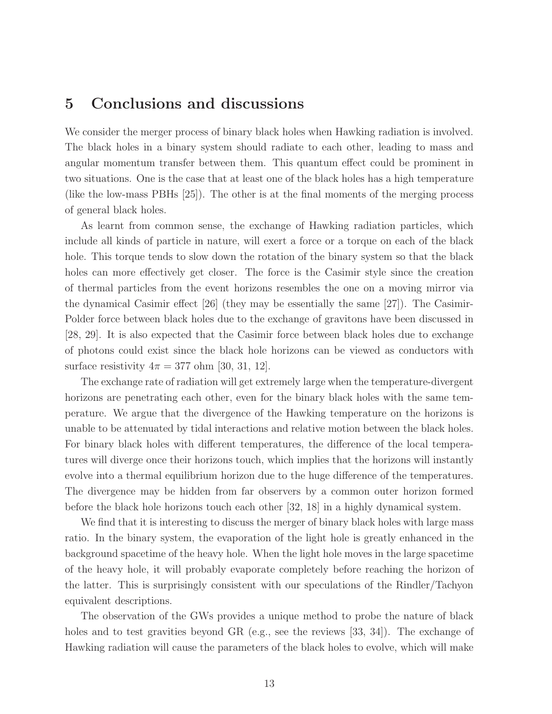## 5 Conclusions and discussions

We consider the merger process of binary black holes when Hawking radiation is involved. The black holes in a binary system should radiate to each other, leading to mass and angular momentum transfer between them. This quantum effect could be prominent in two situations. One is the case that at least one of the black holes has a high temperature (like the low-mass PBHs [25]). The other is at the final moments of the merging process of general black holes.

As learnt from common sense, the exchange of Hawking radiation particles, which include all kinds of particle in nature, will exert a force or a torque on each of the black hole. This torque tends to slow down the rotation of the binary system so that the black holes can more effectively get closer. The force is the Casimir style since the creation of thermal particles from the event horizons resembles the one on a moving mirror via the dynamical Casimir effect  $|26|$  (they may be essentially the same  $|27|$ ). The Casimir-Polder force between black holes due to the exchange of gravitons have been discussed in [28, 29]. It is also expected that the Casimir force between black holes due to exchange of photons could exist since the black hole horizons can be viewed as conductors with surface resistivity  $4\pi = 377$  ohm [30, 31, 12].

The exchange rate of radiation will get extremely large when the temperature-divergent horizons are penetrating each other, even for the binary black holes with the same temperature. We argue that the divergence of the Hawking temperature on the horizons is unable to be attenuated by tidal interactions and relative motion between the black holes. For binary black holes with different temperatures, the difference of the local temperatures will diverge once their horizons touch, which implies that the horizons will instantly evolve into a thermal equilibrium horizon due to the huge difference of the temperatures. The divergence may be hidden from far observers by a common outer horizon formed before the black hole horizons touch each other [32, 18] in a highly dynamical system.

We find that it is interesting to discuss the merger of binary black holes with large mass ratio. In the binary system, the evaporation of the light hole is greatly enhanced in the background spacetime of the heavy hole. When the light hole moves in the large spacetime of the heavy hole, it will probably evaporate completely before reaching the horizon of the latter. This is surprisingly consistent with our speculations of the Rindler/Tachyon equivalent descriptions.

The observation of the GWs provides a unique method to probe the nature of black holes and to test gravities beyond GR (e.g., see the reviews [33, 34]). The exchange of Hawking radiation will cause the parameters of the black holes to evolve, which will make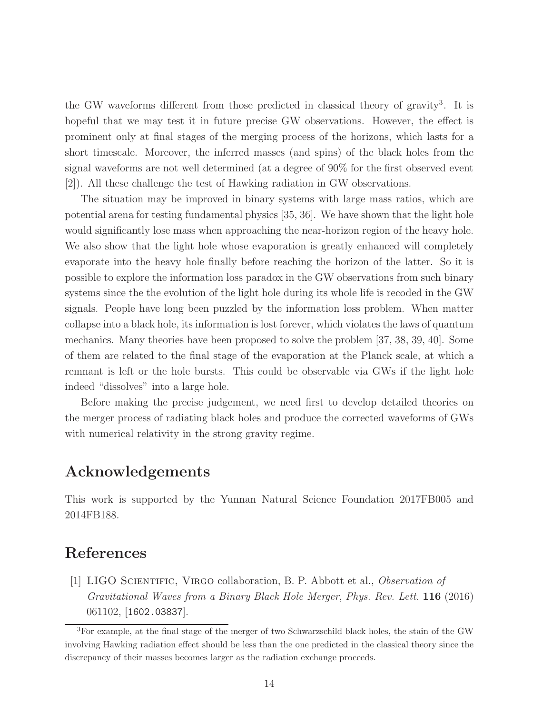the GW waveforms different from those predicted in classical theory of gravity<sup>3</sup>. It is hopeful that we may test it in future precise GW observations. However, the effect is prominent only at final stages of the merging process of the horizons, which lasts for a short timescale. Moreover, the inferred masses (and spins) of the black holes from the signal waveforms are not well determined (at a degree of 90% for the first observed event [2]). All these challenge the test of Hawking radiation in GW observations.

The situation may be improved in binary systems with large mass ratios, which are potential arena for testing fundamental physics [35, 36]. We have shown that the light hole would significantly lose mass when approaching the near-horizon region of the heavy hole. We also show that the light hole whose evaporation is greatly enhanced will completely evaporate into the heavy hole finally before reaching the horizon of the latter. So it is possible to explore the information loss paradox in the GW observations from such binary systems since the the evolution of the light hole during its whole life is recoded in the GW signals. People have long been puzzled by the information loss problem. When matter collapse into a black hole, its information is lost forever, which violates the laws of quantum mechanics. Many theories have been proposed to solve the problem [37, 38, 39, 40]. Some of them are related to the final stage of the evaporation at the Planck scale, at which a remnant is left or the hole bursts. This could be observable via GWs if the light hole indeed "dissolves" into a large hole.

Before making the precise judgement, we need first to develop detailed theories on the merger process of radiating black holes and produce the corrected waveforms of GWs with numerical relativity in the strong gravity regime.

## Acknowledgements

This work is supported by the Yunnan Natural Science Foundation 2017FB005 and 2014FB188.

# References

[1] LIGO Scientific, Virgo collaboration, B. P. Abbott et al., Observation of Gravitational Waves from a Binary Black Hole Merger, Phys. Rev. Lett. 116 (2016) 061102, [1602.03837].

<sup>3</sup>For example, at the final stage of the merger of two Schwarzschild black holes, the stain of the GW involving Hawking radiation effect should be less than the one predicted in the classical theory since the discrepancy of their masses becomes larger as the radiation exchange proceeds.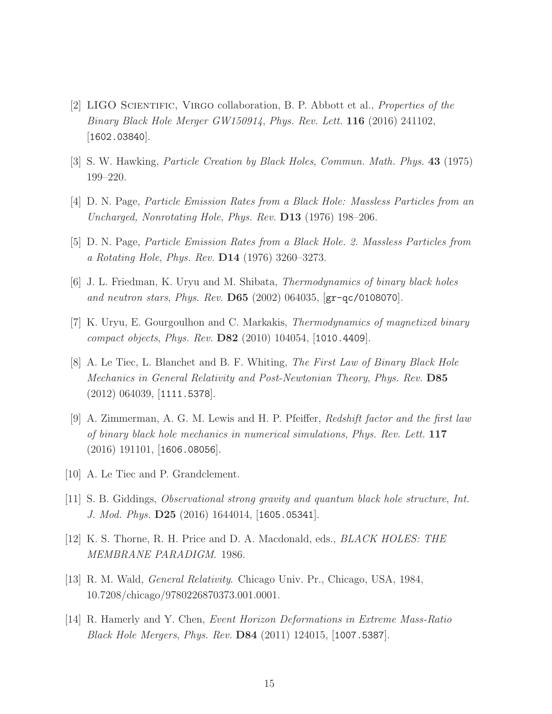- [2] LIGO Scientific, Virgo collaboration, B. P. Abbott et al., Properties of the Binary Black Hole Merger GW150914, Phys. Rev. Lett. 116 (2016) 241102, [1602.03840].
- [3] S. W. Hawking, Particle Creation by Black Holes, Commun. Math. Phys. 43 (1975) 199–220.
- [4] D. N. Page, Particle Emission Rates from a Black Hole: Massless Particles from an Uncharged, Nonrotating Hole, Phys. Rev. D13 (1976) 198–206.
- [5] D. N. Page, Particle Emission Rates from a Black Hole. 2. Massless Particles from a Rotating Hole, Phys. Rev. D14 (1976) 3260–3273.
- [6] J. L. Friedman, K. Uryu and M. Shibata, Thermodynamics of binary black holes and neutron stars, Phys. Rev. D65 (2002) 064035, [gr-qc/0108070].
- [7] K. Uryu, E. Gourgoulhon and C. Markakis, Thermodynamics of magnetized binary compact objects, Phys. Rev. D82 (2010) 104054, [1010.4409].
- [8] A. Le Tiec, L. Blanchet and B. F. Whiting, The First Law of Binary Black Hole Mechanics in General Relativity and Post-Newtonian Theory, Phys. Rev. D85 (2012) 064039, [1111.5378].
- [9] A. Zimmerman, A. G. M. Lewis and H. P. Pfeiffer, Redshift factor and the first law of binary black hole mechanics in numerical simulations, Phys. Rev. Lett. 117  $(2016)$  191101, [1606.08056].
- [10] A. Le Tiec and P. Grandclement.
- [11] S. B. Giddings, Observational strong gravity and quantum black hole structure, Int. J. Mod. Phys. D25 (2016) 1644014, [1605.05341].
- [12] K. S. Thorne, R. H. Price and D. A. Macdonald, eds., BLACK HOLES: THE MEMBRANE PARADIGM. 1986.
- [13] R. M. Wald, General Relativity. Chicago Univ. Pr., Chicago, USA, 1984, 10.7208/chicago/9780226870373.001.0001.
- [14] R. Hamerly and Y. Chen, Event Horizon Deformations in Extreme Mass-Ratio Black Hole Mergers, Phys. Rev. D84 (2011) 124015, [1007.5387].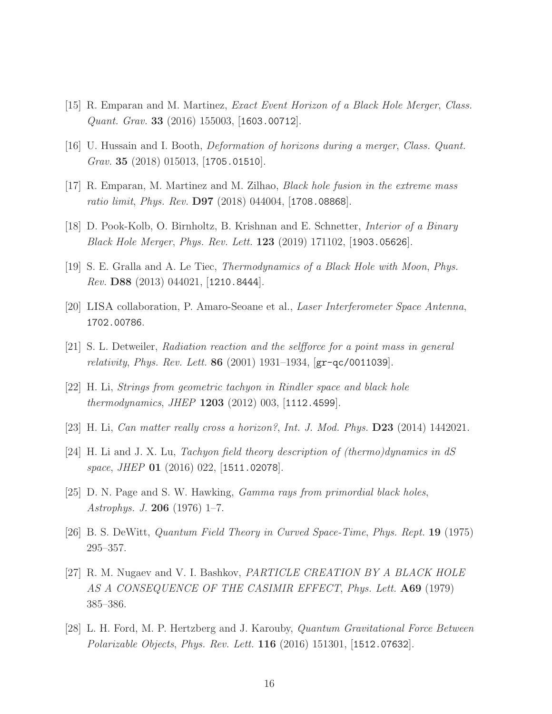- [15] R. Emparan and M. Martinez, Exact Event Horizon of a Black Hole Merger, Class. *Quant. Grav.* **33** (2016) 155003, [1603.00712].
- [16] U. Hussain and I. Booth, Deformation of horizons during a merger, Class. Quant. Grav. 35 (2018) 015013,  $|1705.01510|$ .
- [17] R. Emparan, M. Martinez and M. Zilhao, Black hole fusion in the extreme mass ratio limit, Phys. Rev.  $D97$  (2018) 044004, [1708.08868].
- [18] D. Pook-Kolb, O. Birnholtz, B. Krishnan and E. Schnetter, Interior of a Binary Black Hole Merger, Phys. Rev. Lett. 123 (2019) 171102, [1903.05626].
- [19] S. E. Gralla and A. Le Tiec, Thermodynamics of a Black Hole with Moon, Phys. Rev. D88 (2013) 044021, [1210.8444].
- [20] LISA collaboration, P. Amaro-Seoane et al., Laser Interferometer Space Antenna, 1702.00786.
- [21] S. L. Detweiler, Radiation reaction and the selfforce for a point mass in general *relativity, Phys. Rev. Lett.* **86** (2001) 1931–1934,  $[\text{gr-qc/0011039}]$ .
- [22] H. Li, Strings from geometric tachyon in Rindler space and black hole *thermodynamics, JHEP*  $1203$  (2012) 003, [1112.4599].
- [23] H. Li, Can matter really cross a horizon?, Int. J. Mod. Phys. D23 (2014) 1442021.
- [24] H. Li and J. X. Lu, Tachyon field theory description of (thermo)dynamics in dS space, JHEP **01** (2016) 022, [1511.02078].
- [25] D. N. Page and S. W. Hawking, Gamma rays from primordial black holes, Astrophys. J. 206 (1976) 1–7.
- [26] B. S. DeWitt, Quantum Field Theory in Curved Space-Time, Phys. Rept. 19 (1975) 295–357.
- [27] R. M. Nugaev and V. I. Bashkov, PARTICLE CREATION BY A BLACK HOLE AS A CONSEQUENCE OF THE CASIMIR EFFECT, Phys. Lett. **A69** (1979) 385–386.
- [28] L. H. Ford, M. P. Hertzberg and J. Karouby, Quantum Gravitational Force Between Polarizable Objects, Phys. Rev. Lett. 116 (2016) 151301, [1512.07632].